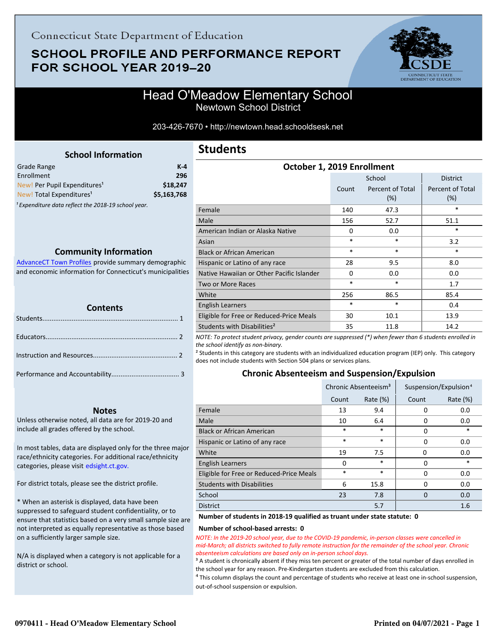# **SCHOOL PROFILE AND PERFORMANCE REPORT** FOR SCHOOL YEAR 2019-20



# Head O'Meadow Elementary School Newtown School District

203-426-7670 • http://newtown.head.schooldsesk.net

<span id="page-0-0"></span>

| Grade Range                                                    | K-4         |
|----------------------------------------------------------------|-------------|
| Enrollment                                                     | 296         |
| New! Per Pupil Expenditures <sup>1</sup>                       | \$18,247    |
| New! Total Expenditures <sup>1</sup>                           | \$5,163,768 |
| <sup>1</sup> Expenditure data reflect the 2018-19 school year. |             |

## **Community Information**

AdvanceCT Town Profiles provide summary demographic  [and economic information for Connecticut's municipalities](http://www.cerc.com/townprofiles/)

| <b>Contents</b> |  |  |  |
|-----------------|--|--|--|
|                 |  |  |  |
|                 |  |  |  |
|                 |  |  |  |
|                 |  |  |  |

### **Notes**

Unless otherwise noted, all data are for 2019-20 and include all grades offered by the school.

[In most tables, data are displayed only for the three major](http://edsight.ct.gov/) race/ethnicity categories. For additional race/ethnicity categories, please visit edsight.ct.gov.

For district totals, please see the district profile.

\* When an asterisk is displayed, data have been suppressed to safeguard student confidentiality, or to ensure that statistics based on a very small sample size are not interpreted as equally representative as those based on a sufficiently larger sample size.

N/A is displayed when a category is not applicable for a district or school.

# **Students**

| OCLODEL 1, 2019 LINOINIENC |                         |                         |  |  |
|----------------------------|-------------------------|-------------------------|--|--|
|                            | School                  | <b>District</b>         |  |  |
| Count                      | Percent of Total<br>(%) | Percent of Total<br>(%) |  |  |
| 140                        | 47.3                    | $\ast$                  |  |  |
| 156                        | 52.7                    | 51.1                    |  |  |
| $\Omega$                   | 0.0                     | $\ast$                  |  |  |
| $\ast$                     | *                       | 3.2                     |  |  |
| $\ast$                     | $\ast$                  | $\ast$                  |  |  |
| 28                         | 9.5                     | 8.0                     |  |  |
| $\Omega$                   | 0.0                     | 0.0                     |  |  |
| $\ast$                     | $\ast$                  | 1.7                     |  |  |
| 256                        | 86.5                    | 85.4                    |  |  |
| $\ast$                     | *                       | 0.4                     |  |  |
| 30                         | 10.1                    | 13.9                    |  |  |
| 35                         | 11.8                    | 14.2                    |  |  |
|                            |                         |                         |  |  |

**October 1, 2019 Enrollment**

*NOTE: To protect student privacy, gender counts are suppressed (\*) when fewer than 6 students enrolled in the school identify as non-binary.*

² Students in this category are students with an individualized education program (IEP) only. This category does not include students with Section 504 plans or services plans.

### **Chronic Absenteeism and Suspension/Expulsion**

|                                          | Chronic Absenteeism <sup>3</sup> |             | Suspension/Expulsion <sup>4</sup> |             |
|------------------------------------------|----------------------------------|-------------|-----------------------------------|-------------|
|                                          | Count                            | Rate $(\%)$ | Count                             | Rate $(\%)$ |
| Female                                   | 13                               | 9.4         | 0                                 | 0.0         |
| Male                                     | 10                               | 6.4         | 0                                 | 0.0         |
| <b>Black or African American</b>         | *                                | $\ast$      | 0                                 | $\ast$      |
| Hispanic or Latino of any race           | *                                | $\ast$      | 0                                 | 0.0         |
| White                                    | 19                               | 7.5         | 0                                 | 0.0         |
| <b>English Learners</b>                  | 0                                | $\ast$      | 0                                 | $\ast$      |
| Eligible for Free or Reduced-Price Meals | *                                | $\ast$      | 0                                 | 0.0         |
| <b>Students with Disabilities</b>        | 6                                | 15.8        | 0                                 | 0.0         |
| School                                   | 23                               | 7.8         | $\Omega$                          | 0.0         |
| <b>District</b>                          |                                  | 5.7         |                                   | 1.6         |

#### **Number of students in 2018-19 qualified as truant under state statute: 0**

#### **Number of school-based arrests: 0**

*NOTE: In the 2019-20 school year, due to the COVID-19 pandemic, in-person classes were cancelled in mid-March; all districts switched to fully remote instruction for the remainder of the school year. Chronic absenteeism calculations are based only on in-person school days.*

<sup>3</sup> A student is chronically absent if they miss ten percent or greater of the total number of days enrolled in the school year for any reason. Pre-Kindergarten students are excluded from this calculation.

 $4$  This column displays the count and percentage of students who receive at least one in-school suspension, out-of-school suspension or expulsion.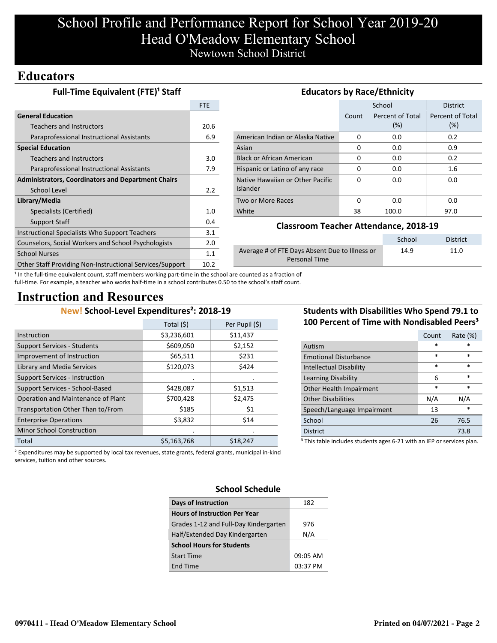# School Profile and Performance Report for School Year 2019-20 Head O'Meadow Elementary School Newtown School District

# **Educators**

| Full-Time Equivalent (FTE) <sup>1</sup> Staff             | <b>Educators by Race/Ethnicity</b> |                                                        |          |                  |                  |
|-----------------------------------------------------------|------------------------------------|--------------------------------------------------------|----------|------------------|------------------|
|                                                           | <b>FTE</b>                         |                                                        |          | School           | <b>District</b>  |
| <b>General Education</b>                                  |                                    |                                                        | Count    | Percent of Total | Percent of Total |
| Teachers and Instructors                                  | 20.6                               |                                                        |          | (%)              | (%)              |
| Paraprofessional Instructional Assistants                 | 6.9                                | American Indian or Alaska Native                       | 0        | 0.0              | 0.2              |
| <b>Special Education</b>                                  |                                    | Asian                                                  | 0        | 0.0              | 0.9              |
| Teachers and Instructors                                  | 3.0                                | <b>Black or African American</b>                       | 0        | 0.0              | 0.2              |
| Paraprofessional Instructional Assistants                 | 7.9                                | Hispanic or Latino of any race                         | 0        | 0.0              | $1.6\phantom{0}$ |
| <b>Administrators, Coordinators and Department Chairs</b> |                                    | Native Hawaiian or Other Pacific                       | $\Omega$ | 0.0              | 0.0              |
| School Level                                              | 2.2                                | <b>Islander</b>                                        |          |                  |                  |
| Library/Media                                             |                                    | Two or More Races                                      | $\Omega$ | 0.0              | 0.0              |
| Specialists (Certified)                                   | 1.0                                | White                                                  | 38       | 100.0            | 97.0             |
| Support Staff                                             | 0.4                                |                                                        |          |                  |                  |
| Instructional Specialists Who Support Teachers            | 3.1                                | <b>Classroom Teacher Attendance, 2018-19</b>           |          |                  |                  |
| Counselors, Social Workers and School Psychologists       | 2.0                                |                                                        |          | School           | <b>District</b>  |
| <b>School Nurses</b>                                      | 1.1                                | Average # of FTE Days Absent Due to Illness or<br>14.9 |          | 11.0             |                  |
| Other Staff Providing Non-Instructional Services/Support  | 10.2                               | Personal Time                                          |          |                  |                  |

<sup>1</sup> In the full-time equivalent count, staff members working part-time in the school are counted as a fraction of full-time. For example, a teacher who works half-time in a school contributes 0.50 to the school's staff count.

# **Instruction and Resources**

## **New! School-Level Expenditures²: 2018-19**

|                                       | Total (\$)  | Per Pupil (\$) |
|---------------------------------------|-------------|----------------|
| Instruction                           | \$3,236,601 | \$11,437       |
| <b>Support Services - Students</b>    | \$609,050   | \$2,152        |
| Improvement of Instruction            | \$65,511    | \$231          |
| Library and Media Services            | \$120,073   | \$424          |
| <b>Support Services - Instruction</b> |             |                |
| Support Services - School-Based       | \$428,087   | \$1,513        |
| Operation and Maintenance of Plant    | \$700,428   | \$2,475        |
| Transportation Other Than to/From     | \$185       | \$1            |
| <b>Enterprise Operations</b>          | \$3,832     | \$14           |
| <b>Minor School Construction</b>      |             |                |
| Total                                 | \$5,163,768 | \$18,247       |

## **Students with Disabilities Who Spend 79.1 to 100 Percent of Time with Nondisabled Peers³**

|                                                                                   | Count  | Rate (%) |  |  |
|-----------------------------------------------------------------------------------|--------|----------|--|--|
| Autism                                                                            | *      | *        |  |  |
| <b>Emotional Disturbance</b>                                                      | $\ast$ | $\ast$   |  |  |
| <b>Intellectual Disability</b>                                                    | $\ast$ | $\ast$   |  |  |
| Learning Disability                                                               | 6      | $\ast$   |  |  |
| Other Health Impairment                                                           | $\ast$ | $\ast$   |  |  |
| <b>Other Disabilities</b>                                                         | N/A    | N/A      |  |  |
| Speech/Language Impairment                                                        | 13     | *        |  |  |
| School                                                                            | 26     | 76.5     |  |  |
| <b>District</b>                                                                   |        | 73.8     |  |  |
| <sup>3</sup> This table includes students ages 6-21 with an IEP or services plan. |        |          |  |  |

² Expenditures may be supported by local tax revenues, state grants, federal grants, municipal in-kind services, tuition and other sources.

# **School Schedule**

| <b>Days of Instruction</b>            | 182      |
|---------------------------------------|----------|
| <b>Hours of Instruction Per Year</b>  |          |
| Grades 1-12 and Full-Day Kindergarten | 976      |
| Half/Extended Day Kindergarten        | N/A      |
| <b>School Hours for Students</b>      |          |
| <b>Start Time</b>                     | 09:05 AM |
| End Time                              | 03:37 PM |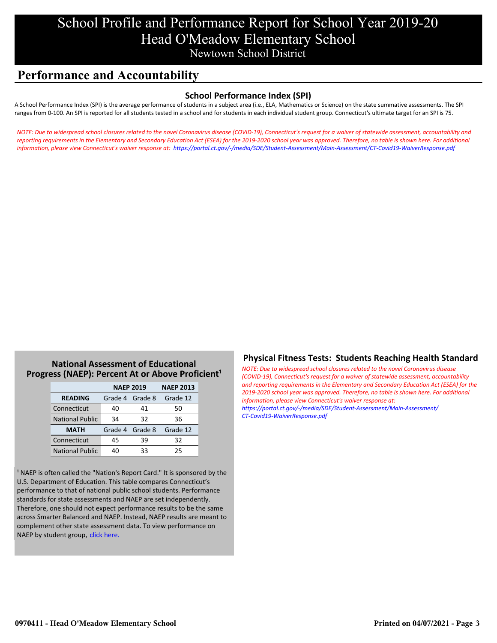# School Profile and Performance Report for School Year 2019-20 Head O'Meadow Elementary School Newtown School District

# **Performance and Accountability**

## **School Performance Index (SPI)**

A School Performance Index (SPI) is the average performance of students in a subject area (i.e., ELA, Mathematics or Science) on the state summative assessments. The SPI ranges from 0-100. An SPI is reported for all students tested in a school and for students in each individual student group. Connecticut's ultimate target for an SPI is 75.

*[NOTE: Due to widespread school closures related to the novel Coronavirus disease \(COVID-19\), Connecticut's request for a waiver of statewide assessment, accountability and](https://portal.ct.gov/-/media/SDE/Student-Assessment/Main-Assessment/CT-Covid19-WaiverResponse.pdf) reporting requirements in the Elementary and Secondary Education Act (ESEA) for the 2019-2020 school year was approved. Therefore, no table is shown here. For additional information, please view Connecticut's waiver response at: https://portal.ct.gov/-/media/SDE/Student-Assessment/Main-Assessment/CT-Covid19-WaiverResponse.pdf*

## **National Assessment of Educational Progress (NAEP): Percent At or Above Proficient<sup>1</sup>**

|                        | <b>NAEP 2019</b> | <b>NAEP 2013</b> |          |
|------------------------|------------------|------------------|----------|
| <b>READING</b>         | Grade 4 Grade 8  |                  | Grade 12 |
| Connecticut            | 40               | 41               | 50       |
| <b>National Public</b> | 34               | 32               | 36       |
| <b>MATH</b>            | Grade 4 Grade 8  |                  | Grade 12 |
| Connecticut            | 45               | 39               | 32       |
| <b>National Public</b> | 40               | 33               | 25       |

<sup>1</sup> NAEP is often called the "Nation's Report Card." It is sponsored by the U.S. Department of Education. This table compares Connecticut's performance to that of national public school students. Performance standards for state assessments and NAEP are set independently. Therefore, one should not expect performance results to be the same across Smarter Balanced and NAEP. Instead, NAEP results are meant to complement other state assessment data. To view performance on NAEP by student group, click here.

## **Physical Fitness Tests: Students Reaching Health Standard**

*NOTE: Due to widespread school closures related to the novel Coronavirus disease (COVID-19), Connecticut's request for a waiver of statewide assessment, accountability [and reporting requirements in the Elementary and Secondary Education Act \(ESEA\) for the](https://portal.ct.gov/-/media/SDE/Student-Assessment/Main-Assessment/CT-Covid19-WaiverResponse.pdf) 2019-2020 school year was approved. Therefore, no table is shown here. For additional information, please view Connecticut's waiver response at: https://portal.ct.gov/-/media/SDE/Student-Assessment/Main-Assessment/ CT-Covid19-WaiverResponse.pdf*